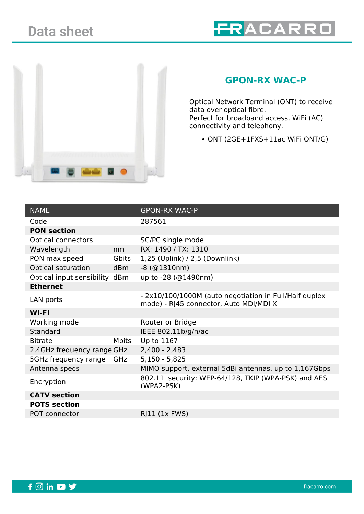



## **GPON-RX WAC-P**

Optical Network Terminal (ONT) to receive data over optical fibre. Perfect for broadband access, WiFi (AC) connectivity and telephony.

ONT (2GE+1FXS+11ac WiFi ONT/G)

| <b>NAME</b>                   |              | <b>GPON-RX WAC-P</b>                                                                             |
|-------------------------------|--------------|--------------------------------------------------------------------------------------------------|
| Code                          |              | 287561                                                                                           |
| <b>PON section</b>            |              |                                                                                                  |
| <b>Optical connectors</b>     |              | SC/PC single mode                                                                                |
| Wavelength                    | nm           | RX: 1490 / TX: 1310                                                                              |
| PON max speed                 | Gbits        | 1,25 (Uplink) / 2,5 (Downlink)                                                                   |
| Optical saturation            | dBm          | $-8$ (@1310nm)                                                                                   |
| Optical input sensibility dBm |              | up to -28 (@1490nm)                                                                              |
| <b>Ethernet</b>               |              |                                                                                                  |
| LAN ports                     |              | - 2x10/100/1000M (auto negotiation in Full/Half duplex<br>mode) - RJ45 connector, Auto MDI/MDI X |
| <b>WI-FI</b>                  |              |                                                                                                  |
| Working mode                  |              | Router or Bridge                                                                                 |
| Standard                      |              | IEEE 802.11b/g/n/ac                                                                              |
| <b>Bitrate</b>                | <b>Mbits</b> | Up to 1167                                                                                       |
| 2,4GHz frequency range GHz    |              | $2,400 - 2,483$                                                                                  |
| 5GHz frequency range          | GHz          | $5,150 - 5,825$                                                                                  |
| Antenna specs                 |              | MIMO support, external 5dBi antennas, up to 1,167Gbps                                            |
| Encryption                    |              | 802.11i security: WEP-64/128, TKIP (WPA-PSK) and AES<br>(WPA2-PSK)                               |
| <b>CATV</b> section           |              |                                                                                                  |
| <b>POTS section</b>           |              |                                                                                                  |
| <b>POT connector</b>          |              | RJ11 (1x FWS)                                                                                    |
|                               |              |                                                                                                  |